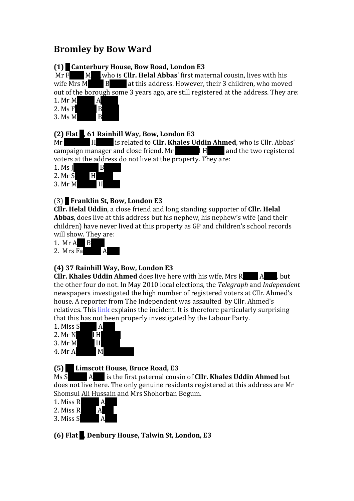# **Bromley by Bow Ward**

## **(1) 9 Canterbury House, Bow Road, London E3**

Mr F<sub>aruk</sub> M<sub>iah</sub>, who is **Cllr. Helal Abbas**' first maternal cousin, lives with his wife Mrs  $M$  B at this address. However, their 3 children, who moved out of the borough some 3 years ago, are still registered at the address. They are:

1. Mr  $M$  A 2. Ms  $F$  B<br>3. Ms M

 $3. Ms$  M

#### **(2)** Flat , 61 Rainhill Way, Bow, London E3

Mr His related to **Cllr. Khales Uddin Ahmed**, who is Cllr. Abbas' campaign manager and close friend.  $Mr$   $H$  and the two registered voters at the address do not live at the property. They are:

| 1. Ms $\overline{I}$ | В |
|----------------------|---|
| 2. Mr S              | H |
| 3. Mr M              | H |

# (3) **2 Franklin St, Bow, London E3**

**Cllr.** Helal Uddin, a close friend and long standing supporter of **Cllr.** Helal **Abbas**, does live at this address but his nephew, his nephew's wife (and their children) have never lived at this property as GP and children's school records will show. They are:

1. Mr  $A$  B

2. Mrs Fa $\overline{A}$ 

#### **(4) 37 Rainhill Way, Bow, London E3**

**Cllr. Khales Uddin Ahmed** does live here with his wife, Mrs Rujina Aktar, but the other four do not. In May 2010 local elections, the *Telegraph* and *Independent* newspapers investigated the high number of registered voters at Cllr. Ahmed's house. A reporter from The Independent was assaulted by Cllr. Ahmed's relatives. This link explains the incident. It is therefore particularly surprising that this has not been properly investigated by the Labour Party.

- 1. Miss  $S$  A
- $2. Mr N$   $1 H$
- $3. Mr M H$
- 4. Mr A M

# **(5) 14 Limscott House, Bruce Road, E3**

Ms S A is the first paternal cousin of **Cllr. Khales Uddin Ahmed** but does not live here. The only genuine residents registered at this address are Mr Shomsul Ali Hussain and Mrs Shohorban Begum.

- 1. Miss R  $\overline{A}$
- 2. Miss  $R$  A
- 3. Miss S

**(6)** Flat **.** Denbury House, Talwin St, London, E3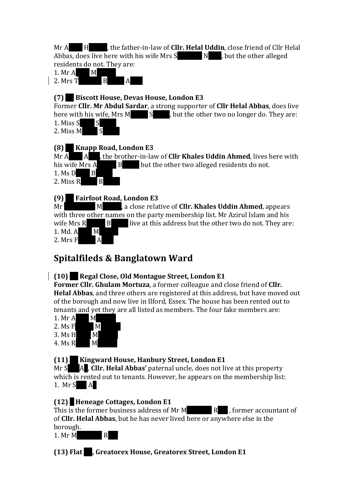Mr A**bdul Hashim, the father-in-law of Cllr. Helal Uddin**, close friend of Cllr Helal Abbas, does live here with his wife Mrs  $S$  Nessa, but the other alleged residents do not. They are:



### **(7) 38 Biscott House, Devas House, London E3**

Former **Cllr. Mr Abdul Sardar**, a strong supporter of **Cllr Helal Abbas**, does live here with his wife, Mrs M  $\overline{\phantom{a}}$  S  $\overline{\phantom{a}}$ , but the other two no longer do. They are: 1. Miss  $S_S$   $S$ 2. Miss  $M_S$ 

## **(8) Knapp Road, London E3**

Mr A A had, the brother-in-law of **Cllr Khales Uddin Ahmed**, lives here with his wife Mrs A<sub>B</sub> But the other two alleged residents do not. 1. Ms Dilara Begum 2. Miss  $R$  B

# **(9) Fairfoot Road, London E3**

Mr
M<sub>M</sub>
M<sub>aclose</sub> relative of **Cllr. Khales Uddin Ahmed**, appears with three other names on the party membership list. Mr Azirul Islam and his wife Mrs  $R$  B live at this address but the other two do not. They are:  $1.$  Md. A M 2. Mrs  $F$  A

# **Spitalfileds & Banglatown Ward**

# **(10) Regal Close, Old Montague Street, London E1**

**Former Cllr. Ghulam Mortuza**, a former colleague and close friend of **Cllr. Helal Abbas**, and three others are registered at this address, but have moved out of the borough and now live in Ilford, Essex. The house has been rented out to tenants and yet they are all listed as members. The four fake members are:

- 1. Mr  $A$  M  $2. MsF$  M  $3. MsH$  M
- 4. Ms R  $M$

# **(11)** Kingward House, Hanbury Street, London E1

Mr S **A**. Cllr. Helal Abbas' paternal uncle, does not live at this property which is rented out to tenants. However, he appears on the membership list: 1. Mr S  $\parallel$  A

# **(12) 6 Heneage Cottages, London E1**

This is the former business address of Mr M<sub>R</sub>, former accountant of of **Cllr. Helal Abbas**, but he has never lived here or anywhere else in the borough.

1. Mr  $M$  R

**(13)** Flat , Greatorex House, Greatorex Street, London E1